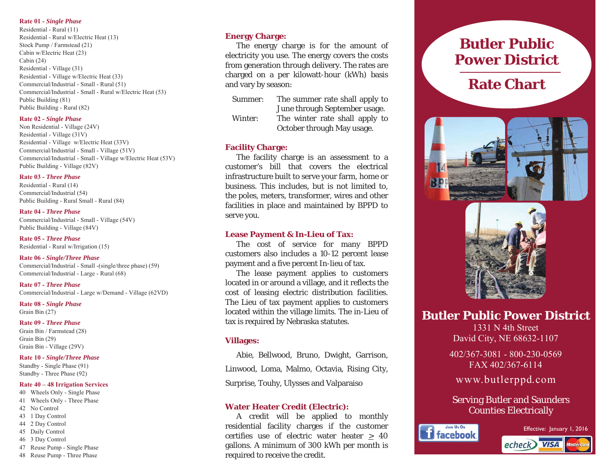## **Rate 01 -** *Single Phase*

Residential - Rural (11) Residential - Rural w/Electric Heat (13) Stock Pump / Farmstead (21) Cabin w/Electric Heat (23) Cabin  $(24)$ Residential - Village (31) Residential - Village w/Electric Heat (33) Commercial/Industrial - Small - Rural (51) Commercial/Industrial - Small - Rural w/Electric Heat (53) Public Building (81) Public Building - Rural (82)

## **Rate 02 -** *Single Phase*

Non Residential - Village (24V) Residential - Village (31V) Residential - Village w/Electric Heat (33V) Commercial/Industrial - Small - Village (51V) Commercial/Industrial - Small - Village w/Electric Heat (53V) Public Building - Village (82V)

## **Rate 03 -** *Three Phase*

Residential - Rural (14) Commercial/Industrial (54) Public Building - Rural Small - Rural (84)

## **Rate 04 -** *Three Phase*

Commercial/Industrial - Small - Village (54V) Public Building - Village (84V)

**Rate 05 -** *Three Phase* Residential - Rural w/Irrigation (15)

## **Rate 06 -** *Single/Three Phase*  Commercial/Industrial - Small -(single/three phase) (59) Commercial/Industrial - Large - Rural (68)

**Rate 07 -** *Three Phase* Commercial/Industrial - Large w/Demand - Village (62VD)

**Rate 08 -** *Single Phase*  Grain Bin  $(27)$ 

**Rate 09 -** *Three Phase* Grain Bin / Farmstead (28) Grain Bin  $(29)$ Grain Bin - Village (29V)

#### **Rate 10 -** *Single/Three Phase* Standby - Single Phase (91)

Standby - Three Phase (92)

# **Rate 40 – 48 Irrigation Services**

- 40 Wheels Only Single Phase
- 41 Wheels Only Three Phase 42 No Control
- 43 1 Day Control
- 44 2 Day Control
- 45 Daily Control
- 46 3 Day Control
- 47 Reuse Pump Single Phase
- 48 Reuse Pump Three Phase

# **Energy Charge:**

 The energy charge is for the amount of electricity you use. The energy covers the costs from generation through delivery. The rates are charged on a per kilowatt-hour (kWh) basis and vary by season:

- Summer: The summer rate shall apply to June through September usage.
- Winter: The winter rate shall apply to October through May usage.

# **Facility Charge:**

The facility charge is an assessment to a customer's bill that covers the electrical infrastructure built to serve your farm, home or business. This includes, but is not limited to, the poles, meters, transformer, wires and other facilities in place and maintained by BPPD to serve you.

## **Lease Payment & In-Lieu of Tax:**

The cost of service for many BPPD customers also includes a 10-12 percent lease payment and a five percent In-lieu of tax.

 The lease payment applies to customers located in or around a village, and it reflects the cost of leasing electric distribution facilities. The Lieu of tax payment applies to customers located within the village limits. The in-Lieu of tax is required by Nebraska statutes.

## **Villages:**

 Abie, Bellwood, Bruno, Dwight, Garrison, Linwood, Loma, Malmo, Octavia, Rising City, Surprise, Touhy, Ulysses and Valparaiso

# **Water Heater Credit (Electric):**

 A credit will be applied to monthly residential facility charges if the customer certifies use of electric water heater  $\geq 40$ gallons. A minimum of 300 kWh per month is required to receive the credit.

# **Butler Public Power District**

# **Rate Chart**





**Butler Public Power District** 

1331 N 4th Street David City, NE 68632-1107

402/367-3081 - 800-230-0569 FAX 402/367-6114

www.butlerppd.com

Serving Butler and Saunders Counties Electrically